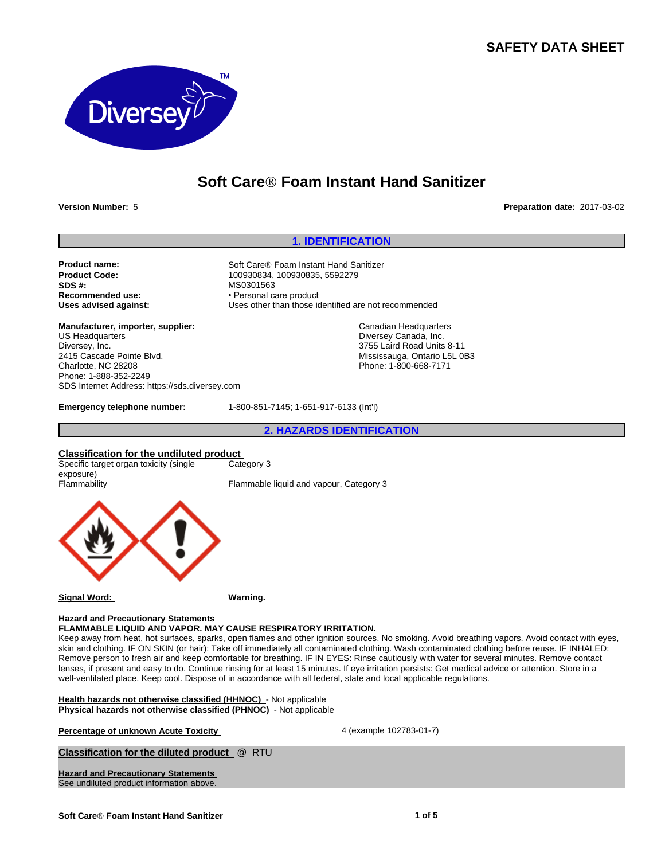# **SAFETY DATA SHEET**



# **Soft CareÒ Foam Instant Hand Sanitizer**

**Version Number:** 5 **Preparation date:** 2017-03-02

#### **1. IDENTIFICATION**

**SDS #:** MS0301563<br> **Recommended use:** MS0301563<br> **Recommended use:** Personal ca **Recommended use:** • Personal care product<br> **Uses advised against:** Uses other than those is

**Manufacturer, importer, supplier:** US Headquarters Diversey, Inc. 2415 Cascade Pointe Blvd. Charlotte, NC 28208 Phone: 1-888-352-2249 SDS Internet Address: https://sds.diversey.com

**Product name:** Soft Care<sup>®</sup> Foam Instant Hand Sanitizer<br> **Product Code:** 100930834, 100930835, 5592279 **Product Code:** 100930834, 100930835, 5592279<br> **SDS #:** MS0301563 Uses other than those identified are not recommended

> Canadian Headquarters Diversey Canada, Inc. 3755 Laird Road Units 8-11 Mississauga, Ontario L5L 0B3 Phone: 1-800-668-7171

**Emergency telephone number:** 1-800-851-7145; 1-651-917-6133 (Int'l)

**2. HAZARDS IDENTIFICATION**

#### **Classification for the undiluted product** Category 3

Specific target organ toxicity (single exposure)<br>Flammability

Flammable liquid and vapour, Category 3



**Signal Word: Warning.**

#### **Hazard and Precautionary Statements**

**FLAMMABLE LIQUID AND VAPOR. MAY CAUSE RESPIRATORY IRRITATION.**

Keep away from heat, hot surfaces, sparks, open flames and other ignition sources. No smoking. Avoid breathing vapors. Avoid contact with eyes, skin and clothing. IF ON SKIN (or hair): Take off immediately all contaminated clothing. Wash contaminated clothing before reuse. IF INHALED: Remove person to fresh air and keep comfortable for breathing. IF IN EYES: Rinse cautiously with water for several minutes. Remove contact lenses, if present and easy to do. Continue rinsing for at least 15 minutes. If eye irritation persists: Get medical advice or attention. Store in a well-ventilated place. Keep cool. Dispose of in accordance with all federal, state and local applicable regulations.

**Health hazards not otherwise classified (HHNOC)** - Not applicable **Physical hazards not otherwise classified (PHNOC)** - Not applicable

**Percentage of unknown Acute Toxicity According to the 4 (example 102783-01-7)** 

**Classification for the diluted product** @ RTU

**Hazard and Precautionary Statements**  See undiluted product information above.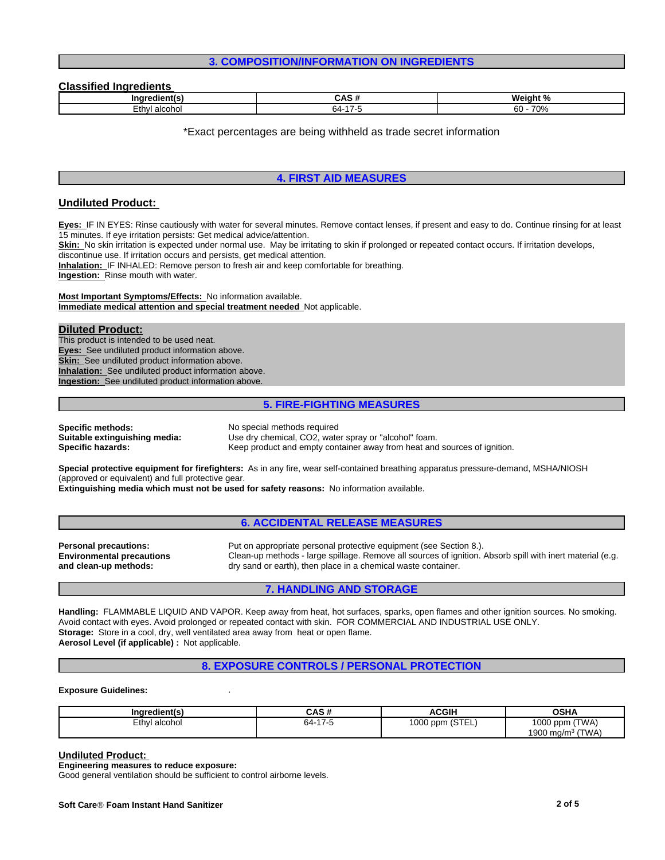### **3. COMPOSITION/INFORMATION ON INGREDIENTS**

#### **Classified Ingredients**

| ınc                                      |                      | 184<br>am<br>70                |
|------------------------------------------|----------------------|--------------------------------|
| $^{\circ}$ +h $^{\circ}$<br>ിCONu.<br>-- | $\rightarrow$<br>-64 | 700<br>$\sim$<br>' V / C<br>uu |

\*Exact percentages are being withheld as trade secret information

### **4. FIRST AID MEASURES**

### **Undiluted Product:**

**Eyes:** IF IN EYES: Rinse cautiously with water for several minutes. Remove contact lenses, if present and easy to do. Continue rinsing for at least 15 minutes. If eye irritation persists: Get medical advice/attention.

Skin: No skin irritation is expected under normal use. May be irritating to skin if prolonged or repeated contact occurs. If irritation develops,

discontinue use. If irritation occurs and persists, get medical attention.

**Inhalation:** IF INHALED: Remove person to fresh air and keep comfortable for breathing.

**Ingestion:** Rinse mouth with water.

**Most Important Symptoms/Effects:** No information available. **Immediate medical attention and special treatment needed** Not applicable.

#### **Diluted Product:**

This product is intended to be used neat. **Eyes:** See undiluted product information above. **Skin:** See undiluted product information above. **Inhalation:** See undiluted product information above. **Ingestion:** See undiluted product information above.

#### **5. FIRE-FIGHTING MEASURES**

**Specific methods:** No special methods required

**Suitable extinguishing media:** Use dry chemical, CO2, water spray or "alcohol" foam.<br>**Specific hazards:** Keep product and empty container away from heat and Keep product and empty container away from heat and sources of ignition.

**Special protective equipment for firefighters:** As in any fire, wear self-contained breathing apparatus pressure-demand, MSHA/NIOSH (approved or equivalent) and full protective gear.

**Extinguishing media which must not be used for safety reasons:** No information available.

### **6. ACCIDENTAL RELEASE MEASURES**

**Personal precautions:** Put on appropriate personal protective equipment (see Section 8.). **Environmental precautions and clean-up methods:** Clean-up methods - large spillage. Remove all sources of ignition. Absorb spill with inert material (e.g. dry sand or earth), then place in a chemical waste container.

## **7. HANDLING AND STORAGE**

**Handling:** FLAMMABLE LIQUID AND VAPOR. Keep away from heat, hot surfaces, sparks, open flames and other ignition sources. No smoking. Avoid contact with eyes. Avoid prolonged or repeated contact with skin. FOR COMMERCIAL AND INDUSTRIAL USE ONLY. **Storage:** Store in a cool, dry, well ventilated area away from heat or open flame. **Aerosol Level (if applicable) :** Not applicable.

### **8. EXPOSURE CONTROLS / PERSONAL PROTECTION**

#### **Exposure Guidelines:** .

| <br>Inaredient(s) | ៱៰៷<br>ບຕວ ກ | ACGIH           | <b>OSHA</b>            |
|-------------------|--------------|-----------------|------------------------|
| Ethyl alcohol     | 64-<br>כ- זו | 1000 ppm (STEL) | (TWA)<br>1000 ppm      |
|                   |              |                 | (TWA)<br>1900 mg/m $3$ |

#### **Undiluted Product:**

**Engineering measures to reduce exposure:**

Good general ventilation should be sufficient to control airborne levels.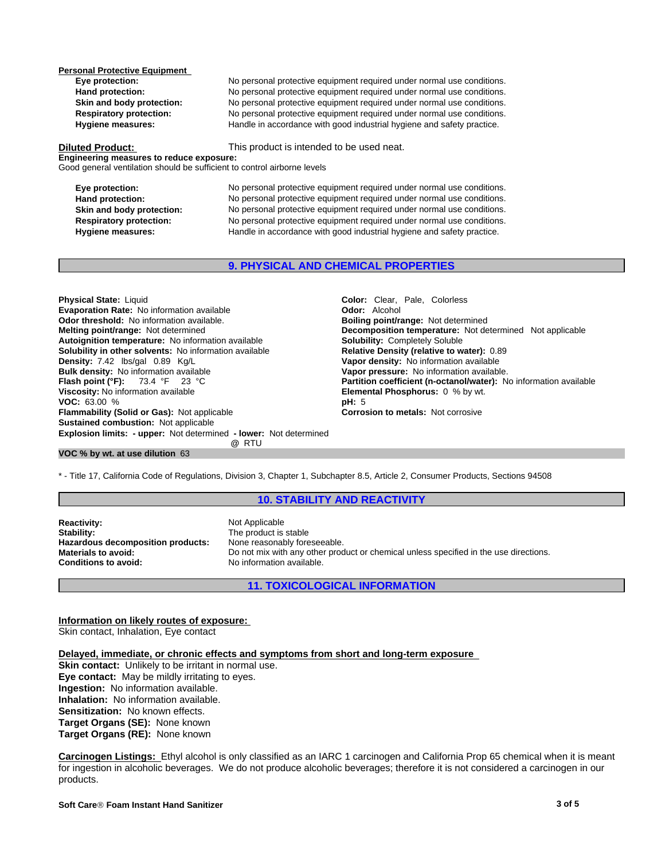**Personal Protective Equipment** 

**Eye protection:** No personal protective equipment required under normal use conditions. **Hand protection:** No personal protective equipment required under normal use conditions. **Skin and body protection:** No personal protective equipment required under normal use conditions.<br> **Respiratory protection:** No personal protective equipment required under normal use conditions. **Respiratory protection:** No personal protective equipment required under normal use conditions.<br> **Handle in accordance with good industrial hygiene and safety practice.** Handle in accordance with good industrial hygiene and safety practice.

**Diluted Product:** This product is intended to be used neat.

**Engineering measures to reduce exposure:** Good general ventilation should be sufficient to control airborne levels

**Eye protection:** No personal protective equipment required under normal use conditions. **Hand protection:** No personal protective equipment required under normal use conditions. **Skin and body protection:** No personal protective equipment required under normal use conditions. **Respiratory protection:** No personal protective equipment required under normal use conditions. **Hygiene measures:** Handle in accordance with good industrial hygiene and safety practice.

### **9. PHYSICAL AND CHEMICAL PROPERTIES**

**Explosion limits: - upper:** Not determined **- lower:** Not determined **@** RTU **Physical State:** Liquid **Color:** *Color: Clear, Pale, Colorless*<br> **Color:** Clear, Pale, Colorless<br> **Color:** Alcohol **Evaporation Rate:** No information available **Odor threshold:** No information available. **Boiling point/range: Not determined Melting point/range:** Not determined **Melting point/range:** Not determined **Autoignition temperature:** No information available **Solubility:** Completely Soluble **Solubility in other solvents: No information available Density:** 7.42 lbs/gal 0.89 Kg/L **Vapor density:** No information available **Bulk density:** No information available **Bulk density:** No information available **Bulk density:** No information available **Vapor pressure:** No information available.<br> **Flash point (°F):** 73.4 °F 23 °C **C Partition coefficient (n-octanol/water):** N **Viscosity:** No information available **Elemental Phosphorus:** 0 % by wt. **VOC:** 63.00 % **pH:** 5 **Flammability (Solid or Gas):** Not applicable **Corrosion to metals:** Not corrosive **Sustained combustion:** Not applicable

**Decomposition temperature:** Not determined Not applicable **Partition coefficient (n-octanol/water):** No information available

### **VOC % by wt. at use dilution** 63

\* - Title 17, California Code of Regulations, Division 3, Chapter 1, Subchapter 8.5, Article 2, Consumer Products, Sections 94508

#### **10. STABILITY AND REACTIVITY**

**Reactivity:** Not Applicable Stability: Not Applicable Stability: **Hazardous decomposition products:**<br>Materials to avoid: **Conditions to avoid:** 

The product is stable<br>None reasonably foreseeable. Do not mix with any other product or chemical unless specified in the use directions.<br>No information available

### **11. TOXICOLOGICAL INFORMATION**

**Information on likely routes of exposure:** Skin contact, Inhalation, Eye contact

### **Delayed, immediate, or chronic effects and symptoms from short and long-term exposure**

**Skin contact:** Unlikely to be irritant in normal use. **Eye contact:** May be mildly irritating to eyes. **Ingestion:** No information available. **Inhalation:** No information available. **Sensitization:** No known effects. **Target Organs (SE):** None known **Target Organs (RE):** None known

**Carcinogen Listings:** Ethyl alcohol is only classified as an IARC 1 carcinogen and California Prop 65 chemical when it is meant for ingestion in alcoholic beverages. We do not produce alcoholic beverages; therefore it is not considered a carcinogen in our products.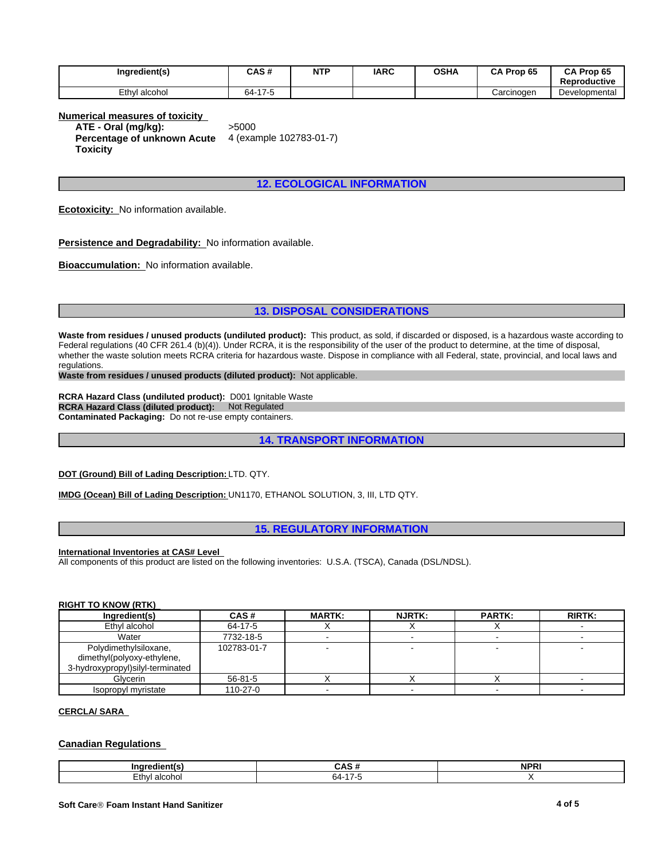| Ingredient(s) | CAS#               | <b>NTP</b> | <b>IARC</b> | <b>OSHA</b> | Prop 65<br>CА | CA Prop 65<br>Reproductive |
|---------------|--------------------|------------|-------------|-------------|---------------|----------------------------|
| Ethyl alcohol | 47E<br>64-<br>/ -ລ |            |             |             | Carcinoɑen    | Developmental              |

**Numerical measures of toxicity ATE - Oral (mg/kg):** >5000 **Percentage of unknown Acute Toxicity** 4 (example 102783-01-7)

**12. ECOLOGICAL INFORMATION**

**Ecotoxicity:** No information available.

**Persistence and Degradability:** No information available.

**Bioaccumulation:** No information available.

### **13. DISPOSAL CONSIDERATIONS**

**Waste from residues / unused products (undiluted product):** This product, as sold, if discarded or disposed, is a hazardous waste according to Federal regulations (40 CFR 261.4 (b)(4)). Under RCRA, it is the responsibility of the user of the product to determine, at the time of disposal, whether the waste solution meets RCRA criteria for hazardous waste. Dispose in compliance with all Federal, state, provincial, and local laws and regulations.

**Waste from residues / unused products (diluted product):** Not applicable.

**RCRA Hazard Class (undiluted product):** D001 Ignitable Waste **RCRA Hazard Class (diluted product):** Not Regulated **Contaminated Packaging:** Do not re-use empty containers.

**14. TRANSPORT INFORMATION**

**DOT (Ground) Bill of Lading Description:** LTD. QTY.

**IMDG (Ocean) Bill of Lading Description:** UN1170, ETHANOL SOLUTION, 3, III, LTD QTY.

**15. REGULATORY INFORMATION**

**International Inventories at CAS# Level** 

All components of this product are listed on the following inventories: U.S.A. (TSCA), Canada (DSL/NDSL).

### **RIGHT TO KNOW (RTK)**

| Ingredient(s)                                                                           | CAS#          | <b>MARTK:</b> | <b>NJRTK:</b> | <b>PARTK:</b> | <b>RIRTK:</b> |
|-----------------------------------------------------------------------------------------|---------------|---------------|---------------|---------------|---------------|
| Ethyl alcohol                                                                           | 64-17-5       |               |               |               |               |
| Water                                                                                   | 7732-18-5     |               |               |               |               |
| Polydimethylsiloxane,<br>dimethyl(polyoxy-ethylene,<br>3-hydroxypropyl)silyl-terminated | 102783-01-7   |               |               |               |               |
| Glycerin                                                                                | $56 - 81 - 5$ |               |               |               |               |
| Isopropyl myristate                                                                     | 110-27-0      |               |               |               |               |

### **CERCLA/ SARA**

#### **Canadian Regulations**

| .                     | ۰,<br>$\epsilon$<br>$\ddot{\phantom{0}}$ | <b>NDP</b><br>n<br>. |
|-----------------------|------------------------------------------|----------------------|
| ∠thv'<br>alc∩h<br>ono | `<br>n4.                                 |                      |